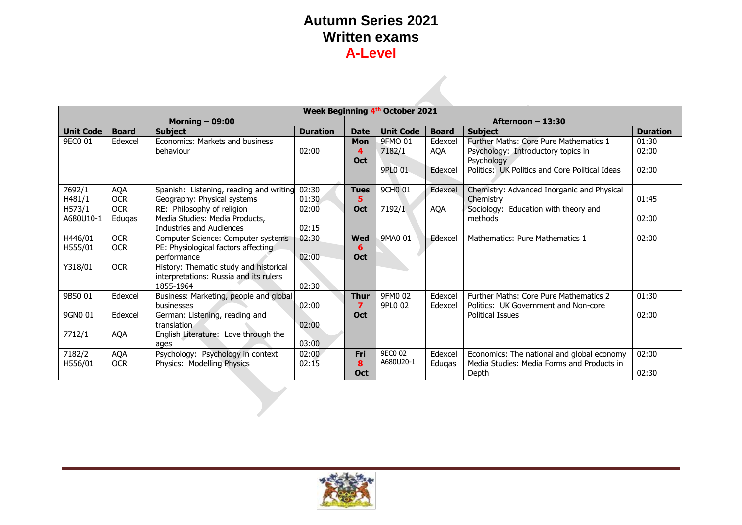|                   | Week Beginning 4th October 2021 |                                                       |                 |             |                     |                                |                                                |       |  |
|-------------------|---------------------------------|-------------------------------------------------------|-----------------|-------------|---------------------|--------------------------------|------------------------------------------------|-------|--|
| Morning $-$ 09:00 |                                 |                                                       |                 |             |                     |                                | Afternoon - 13:30                              |       |  |
| Unit Code         | <b>Board</b>                    | <b>Subject</b>                                        | <b>Duration</b> | <b>Date</b> | <b>Unit Code</b>    | <b>Board</b><br><b>Subject</b> |                                                |       |  |
| 9EC0 01           | Edexcel                         | Economics: Markets and business                       |                 | <b>Mon</b>  | 9FMO 01             | Edexcel                        | Further Maths: Core Pure Mathematics 1         | 01:30 |  |
|                   |                                 | behaviour                                             | 02:00           | 4           | 7182/1              | <b>AQA</b>                     | Psychology: Introductory topics in             | 02:00 |  |
|                   |                                 |                                                       |                 | <b>Oct</b>  |                     |                                | Psychology                                     |       |  |
|                   |                                 |                                                       |                 |             | 9PL0 01             | Edexcel                        | Politics: UK Politics and Core Political Ideas | 02:00 |  |
|                   |                                 |                                                       |                 |             |                     |                                |                                                |       |  |
| 7692/1            | <b>AQA</b>                      | Spanish: Listening, reading and writing               | 02:30           | <b>Tues</b> | 9CH <sub>0</sub> 01 | Edexcel                        | Chemistry: Advanced Inorganic and Physical     |       |  |
| H481/1            | <b>OCR</b>                      | Geography: Physical systems                           | 01:30           | 5           |                     |                                | Chemistry                                      | 01:45 |  |
| H573/1            | <b>OCR</b>                      | RE: Philosophy of religion                            | 02:00           | <b>Oct</b>  | 7192/1              | <b>AQA</b>                     | Sociology: Education with theory and           |       |  |
| A680U10-1         | Eduqas                          | Media Studies: Media Products,                        |                 |             |                     |                                | methods                                        | 02:00 |  |
|                   |                                 | Industries and Audiences                              | 02:15           |             |                     |                                |                                                |       |  |
| H446/01           | <b>OCR</b>                      | Computer Science: Computer systems                    | 02:30           | <b>Wed</b>  | 9MA0 01             | Edexcel                        | Mathematics: Pure Mathematics 1                | 02:00 |  |
| H555/01           | <b>OCR</b>                      | PE: Physiological factors affecting                   |                 | 6           |                     |                                |                                                |       |  |
| Y318/01           | <b>OCR</b>                      | performance<br>History: Thematic study and historical | 02:00           | <b>Oct</b>  |                     |                                |                                                |       |  |
|                   |                                 | interpretations: Russia and its rulers                |                 |             |                     |                                |                                                |       |  |
|                   |                                 | 1855-1964                                             | 02:30           |             |                     |                                |                                                |       |  |
| 9BS0 01           | Edexcel                         | Business: Marketing, people and global                |                 | <b>Thur</b> | 9FM0 02             | Edexcel                        | Further Maths: Core Pure Mathematics 2         | 01:30 |  |
|                   |                                 | businesses                                            | 02:00           | 7           | 9PL0 02             | Edexcel                        | Politics: UK Government and Non-core           |       |  |
| 9GN0 01           | Edexcel                         | German: Listening, reading and                        |                 | <b>Oct</b>  |                     |                                | <b>Political Issues</b>                        | 02:00 |  |
|                   |                                 | translation.                                          | 02:00           |             |                     |                                |                                                |       |  |
| 7712/1            | <b>AQA</b>                      | English Literature: Love through the                  |                 |             |                     |                                |                                                |       |  |
|                   |                                 | ages                                                  | 03:00           |             |                     |                                |                                                |       |  |
| 7182/2            | <b>AQA</b>                      | Psychology: Psychology in context                     | 02:00           | <b>Fri</b>  | 9EC0 02             | Edexcel                        | Economics: The national and global economy     | 02:00 |  |
| H556/01           | <b>OCR</b>                      | Physics: Modelling Physics                            | 02:15           | 8           | A680U20-1           | Edugas                         | Media Studies: Media Forms and Products in     |       |  |
|                   |                                 |                                                       |                 | <b>Oct</b>  |                     |                                | Depth                                          | 02:30 |  |

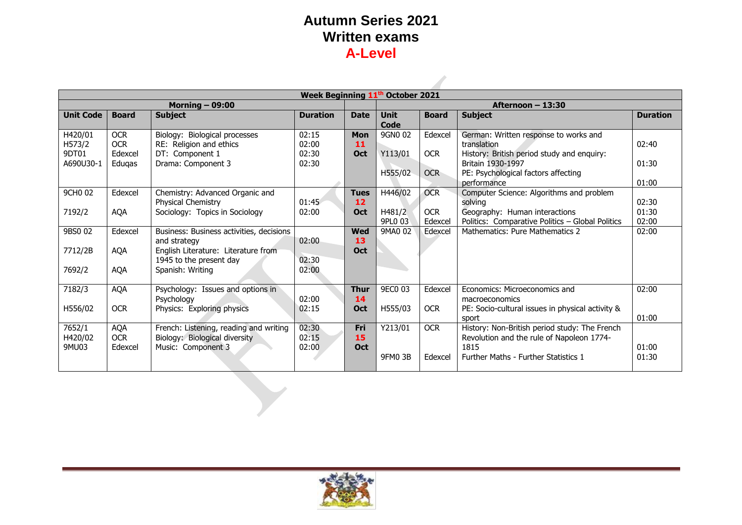**State** 

|                  | Week Beginning 11 <sup>th</sup> October 2021 |                                                          |                 |             |                     |                    |                                                                                     |                 |  |
|------------------|----------------------------------------------|----------------------------------------------------------|-----------------|-------------|---------------------|--------------------|-------------------------------------------------------------------------------------|-----------------|--|
|                  |                                              | Morning $-$ 09:00                                        |                 |             |                     |                    | Afternoon - 13:30                                                                   |                 |  |
| <b>Unit Code</b> | <b>Board</b>                                 | <b>Subject</b>                                           | <b>Duration</b> | <b>Date</b> | <b>Unit</b><br>Code | <b>Board</b>       | <b>Subject</b>                                                                      | <b>Duration</b> |  |
| H420/01          | <b>OCR</b>                                   | Biology: Biological processes                            | 02:15           | <b>Mon</b>  | 9GN0 02             | Edexcel            | German: Written response to works and                                               |                 |  |
| H573/2           | <b>OCR</b>                                   | RE: Religion and ethics                                  | 02:00           | 11          |                     |                    | translation                                                                         | 02:40           |  |
| 9DT01            | Edexcel                                      | DT: Component 1                                          | 02:30           | Oct         | Y113/01             | <b>OCR</b>         | History: British period study and enquiry:                                          |                 |  |
| A690U30-1        | Edugas                                       | Drama: Component 3                                       | 02:30           |             |                     |                    | Britain 1930-1997                                                                   | 01:30           |  |
|                  |                                              |                                                          |                 |             | H555/02             | <b>OCR</b>         | PE: Psychological factors affecting                                                 |                 |  |
|                  |                                              |                                                          |                 |             |                     |                    | performance                                                                         | 01:00           |  |
| 9CH0 02          | Edexcel                                      | Chemistry: Advanced Organic and                          |                 | <b>Tues</b> | H446/02             | <b>OCR</b>         | Computer Science: Algorithms and problem                                            |                 |  |
|                  |                                              | Physical Chemistry                                       | 01:45           | 12          |                     |                    | solvina                                                                             | 02:30           |  |
| 7192/2           | <b>AQA</b>                                   | Sociology: Topics in Sociology                           | 02:00           | Oct         | H481/2              | <b>OCR</b>         | Geography: Human interactions                                                       | 01:30           |  |
| 9BS0 02          |                                              |                                                          |                 | <b>Wed</b>  | 9PL0 03<br>9MA0 02  | Edexcel<br>Edexcel | Politics: Comparative Politics - Global Politics<br>Mathematics: Pure Mathematics 2 | 02:00<br>02:00  |  |
|                  | Edexcel                                      | Business: Business activities, decisions<br>and strategy | 02:00           | 13          |                     |                    |                                                                                     |                 |  |
| 7712/2B          | <b>AOA</b>                                   | English Literature: Literature from                      |                 | <b>Oct</b>  |                     |                    |                                                                                     |                 |  |
|                  |                                              | 1945 to the present day                                  | 02:30           |             |                     |                    |                                                                                     |                 |  |
| 7692/2           | <b>AQA</b>                                   | Spanish: Writing                                         | 02:00           |             |                     |                    |                                                                                     |                 |  |
|                  |                                              |                                                          |                 |             |                     |                    |                                                                                     |                 |  |
| 7182/3           | AQA                                          | Psychology: Issues and options in                        |                 | <b>Thur</b> | 9EC0 03             | Edexcel            | Economics: Microeconomics and                                                       | 02:00           |  |
|                  |                                              | Psychology                                               | 02:00           | 14          |                     |                    | macroeconomics                                                                      |                 |  |
| H556/02          | <b>OCR</b>                                   | Physics: Exploring physics                               | 02:15           | Oct         | H555/03             | <b>OCR</b>         | PE: Socio-cultural issues in physical activity &                                    |                 |  |
|                  |                                              |                                                          |                 |             |                     |                    | sport                                                                               | 01:00           |  |
| 7652/1           | AQA                                          | French: Listening, reading and writing                   | 02:30           | Fri         | Y213/01             | <b>OCR</b>         | History: Non-British period study: The French                                       |                 |  |
| H420/02          | <b>OCR</b>                                   | Biology: Biological diversity                            | 02:15           | 15          |                     |                    | Revolution and the rule of Napoleon 1774-                                           |                 |  |
| 9MU03            | Edexcel                                      | Music: Component 3                                       | 02:00           | <b>Oct</b>  |                     |                    | 1815                                                                                | 01:00           |  |
|                  |                                              |                                                          |                 |             | <b>9FM0 3B</b>      | Edexcel            | Further Maths - Further Statistics 1                                                | 01:30           |  |
|                  |                                              |                                                          |                 |             |                     |                    |                                                                                     |                 |  |

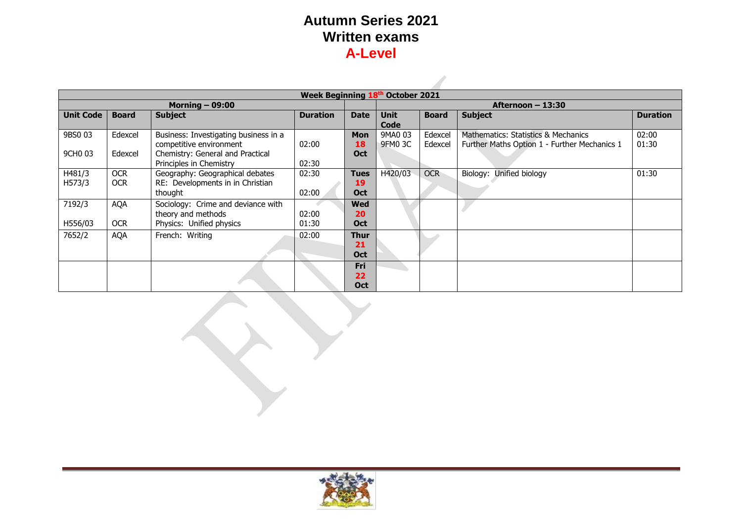|                     | Week Beginning 18th October 2021 |                                                                                |                 |                                               |                                                       |                    |                                                                                     |                 |  |
|---------------------|----------------------------------|--------------------------------------------------------------------------------|-----------------|-----------------------------------------------|-------------------------------------------------------|--------------------|-------------------------------------------------------------------------------------|-----------------|--|
| Morning $-$ 09:00   |                                  |                                                                                |                 |                                               |                                                       |                    | Afternoon – 13:30                                                                   |                 |  |
| <b>Unit Code</b>    | <b>Board</b>                     | <b>Subject</b>                                                                 | <b>Duration</b> | <b>Date</b>                                   | <b>Subject</b><br><b>Unit</b><br><b>Board</b><br>Code |                    |                                                                                     | <b>Duration</b> |  |
| 9BS0 03             | Edexcel                          | Business: Investigating business in a<br>competitive environment               | 02:00           | <b>Mon</b><br>18                              | 9MA0 03<br>9FM0 3C                                    | Edexcel<br>Edexcel | Mathematics: Statistics & Mechanics<br>Further Maths Option 1 - Further Mechanics 1 | 02:00<br>01:30  |  |
| 9CH <sub>0</sub> 03 | Edexcel                          | Chemistry: General and Practical<br>Principles in Chemistry                    | 02:30           | <b>Oct</b>                                    |                                                       |                    |                                                                                     |                 |  |
| H481/3<br>H573/3    | <b>OCR</b><br><b>OCR</b>         | Geography: Geographical debates<br>RE: Developments in in Christian<br>thought | 02:30<br>02:00  | <b>Tues</b><br>19<br><b>Oct</b>               | H420/03                                               | <b>OCR</b>         | Unified biology<br>Biology:                                                         | 01:30           |  |
| 7192/3              | <b>AQA</b>                       | Sociology: Crime and deviance with<br>theory and methods                       | 02:00           | <b>Wed</b><br>20                              |                                                       |                    |                                                                                     |                 |  |
| H556/03<br>7652/2   | <b>OCR</b><br><b>AQA</b>         | Physics: Unified physics<br>French: Writing                                    | 01:30<br>02:00  | <b>Oct</b><br><b>Thur</b><br>21<br><b>Oct</b> |                                                       |                    |                                                                                     |                 |  |
|                     |                                  |                                                                                |                 | Fri<br>22<br><b>Oct</b>                       |                                                       |                    |                                                                                     |                 |  |

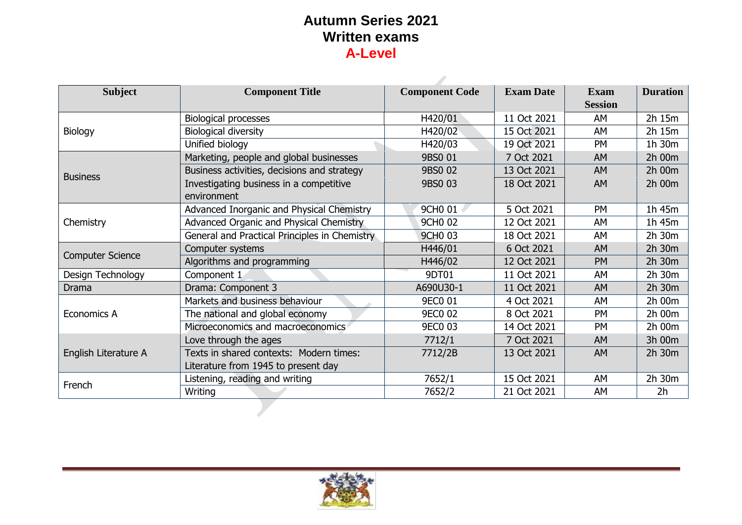| <b>Subject</b>          | <b>Component Title</b>                                                         | <b>Component Code</b> | <b>Exam Date</b> | <b>Exam</b><br><b>Session</b> | <b>Duration</b> |
|-------------------------|--------------------------------------------------------------------------------|-----------------------|------------------|-------------------------------|-----------------|
|                         | <b>Biological processes</b>                                                    | H420/01               | 11 Oct 2021      | AM                            | 2h 15m          |
| Biology                 | <b>Biological diversity</b>                                                    | H420/02               | 15 Oct 2021      | AM                            | 2h 15m          |
|                         | Unified biology                                                                | H420/03               | 19 Oct 2021      | <b>PM</b>                     | 1h 30m          |
|                         | Marketing, people and global businesses                                        | 9BS0 01               | 7 Oct 2021       | <b>AM</b>                     | 2h 00m          |
| <b>Business</b>         | Business activities, decisions and strategy                                    | 9BS0 02               | 13 Oct 2021      | <b>AM</b>                     | 2h 00m          |
|                         | Investigating business in a competitive<br>environment                         | 9BS0 03               | 18 Oct 2021      | <b>AM</b>                     | 2h 00m          |
|                         | Advanced Inorganic and Physical Chemistry                                      | 9CH <sub>0</sub> 01   | 5 Oct 2021       | <b>PM</b>                     | 1h 45m          |
| Chemistry               | Advanced Organic and Physical Chemistry                                        | 9CH <sub>0</sub> 02   | 12 Oct 2021      | AM                            | 1h 45m          |
|                         | General and Practical Principles in Chemistry                                  | <b>9CHO 03</b>        | 18 Oct 2021      | AM                            | 2h 30m          |
|                         | Computer systems                                                               | H446/01               | 6 Oct 2021       | <b>AM</b>                     | 2h 30m          |
| <b>Computer Science</b> | Algorithms and programming                                                     | H446/02               | 12 Oct 2021      | <b>PM</b>                     | 2h 30m          |
| Design Technology       | Component 1                                                                    |                       | 11 Oct 2021      | AM                            | 2h 30m          |
| Drama                   | Drama: Component 3                                                             | A690U30-1             | 11 Oct 2021      | <b>AM</b>                     | 2h 30m          |
|                         | Markets and business behaviour                                                 | <b>9EC0 01</b>        | 4 Oct 2021       | AM                            | 2h 00m          |
| Economics A             | The national and global economy                                                | <b>9EC0 02</b>        | 8 Oct 2021       | <b>PM</b>                     | 2h 00m          |
|                         | Microeconomics and macroeconomics                                              | <b>9EC0 03</b>        | 14 Oct 2021      | <b>PM</b>                     | 2h 00m          |
|                         | Love through the ages                                                          | 7712/1                | 7 Oct 2021       | <b>AM</b>                     | 3h 00m          |
| English Literature A    | Texts in shared contexts: Modern times:<br>Literature from 1945 to present day | 7712/2B               | 13 Oct 2021      | <b>AM</b>                     | 2h 30m          |
| French                  | Listening, reading and writing                                                 | 7652/1                | 15 Oct 2021      | AM                            | 2h 30m          |
|                         | Writing                                                                        | 7652/2                | 21 Oct 2021      | AM                            | 2 <sub>h</sub>  |
|                         |                                                                                |                       |                  |                               |                 |

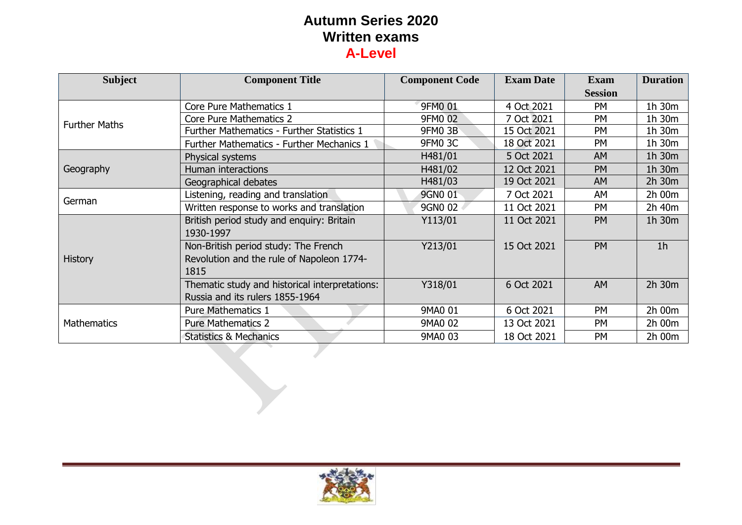| <b>Subject</b>       | <b>Component Title</b>                                                                    | <b>Component Code</b> | <b>Exam Date</b> | <b>Exam</b><br><b>Session</b> | <b>Duration</b> |
|----------------------|-------------------------------------------------------------------------------------------|-----------------------|------------------|-------------------------------|-----------------|
|                      | Core Pure Mathematics 1                                                                   | 9FM0 01               | 4 Oct 2021       | <b>PM</b>                     | 1h 30m          |
| <b>Further Maths</b> | <b>Core Pure Mathematics 2</b>                                                            | 9FM0 02               | 7 Oct 2021       | <b>PM</b>                     | 1h 30m          |
|                      | Further Mathematics - Further Statistics 1                                                | <b>9FM0 3B</b>        | 15 Oct 2021      | <b>PM</b>                     | 1h 30m          |
|                      | Further Mathematics - Further Mechanics 1                                                 | <b>9FM0 3C</b>        | 18 Oct 2021      | <b>PM</b>                     | 1h 30m          |
|                      | Physical systems                                                                          | H481/01               | 5 Oct 2021       | AM                            | 1h 30m          |
| Geography            | Human interactions                                                                        | H481/02               | 12 Oct 2021      | <b>PM</b>                     | 1h 30m          |
|                      | Geographical debates                                                                      | H481/03               | 19 Oct 2021      | AM                            | 2h 30m          |
|                      | Listening, reading and translation                                                        | 9GN0 01               | 7 Oct 2021       | AM                            | 2h 00m          |
| German               | Written response to works and translation                                                 | 9GN0 02               | 11 Oct 2021      | <b>PM</b>                     | 2h 40m          |
|                      | British period study and enquiry: Britain<br>1930-1997                                    | Y113/01               | 11 Oct 2021      | <b>PM</b>                     | 1h 30m          |
| <b>History</b>       | Non-British period study: The French<br>Revolution and the rule of Napoleon 1774-<br>1815 | Y213/01               | 15 Oct 2021      | <b>PM</b>                     | 1 <sub>h</sub>  |
|                      | Thematic study and historical interpretations:<br>Russia and its rulers 1855-1964         | Y318/01               | 6 Oct 2021       | <b>AM</b>                     | 2h 30m          |
|                      | <b>Pure Mathematics 1</b>                                                                 | 9MA0 01               | 6 Oct 2021       | <b>PM</b>                     | 2h 00m          |
| <b>Mathematics</b>   | <b>Pure Mathematics 2</b>                                                                 | 9MA0 02               | 13 Oct 2021      | <b>PM</b>                     | 2h 00m          |
|                      | <b>Statistics &amp; Mechanics</b>                                                         | 9MA0 03               | 18 Oct 2021      | <b>PM</b>                     | 2h 00m          |

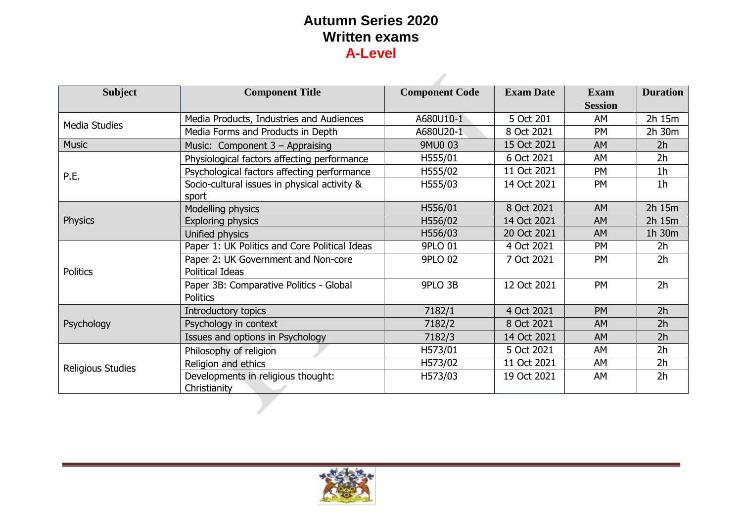| <b>Subject</b>       | <b>Component Title</b>                        | <b>Component Code</b> | <b>Exam Date</b> | <b>Exam</b>    | <b>Duration</b> |
|----------------------|-----------------------------------------------|-----------------------|------------------|----------------|-----------------|
|                      |                                               |                       |                  | <b>Session</b> |                 |
| <b>Media Studies</b> | Media Products, Industries and Audiences      | A680U10-1             | 5 Oct 201        | AM             | 2h 15m          |
|                      | Media Forms and Products in Depth             | A680U20-1             | 8 Oct 2021       | <b>PM</b>      | 2h 30m          |
| <b>Music</b>         | Music: Component $3 -$ Appraising             | 9MU0 03               | 15 Oct 2021      | <b>AM</b>      | 2 <sub>h</sub>  |
|                      | Physiological factors affecting performance   | H555/01               | 6 Oct 2021       | AM             | 2 <sub>h</sub>  |
| P.E.                 | Psychological factors affecting performance   | H555/02               | 11 Oct 2021      | PM             | 1 <sub>h</sub>  |
|                      | Socio-cultural issues in physical activity &  | H555/03               | 14 Oct 2021      | <b>PM</b>      | 1 <sub>h</sub>  |
|                      | sport                                         |                       |                  |                |                 |
|                      | Modelling physics                             | H556/01               | 8 Oct 2021       | AM             | 2h 15m          |
| <b>Physics</b>       | Exploring physics                             | H556/02               | 14 Oct 2021      | <b>AM</b>      | 2h 15m          |
|                      | Unified physics                               | H556/03               | 20 Oct 2021      | <b>AM</b>      | 1h 30m          |
|                      | Paper 1: UK Politics and Core Political Ideas | 9PLO 01               | 4 Oct 2021       | <b>PM</b>      | 2 <sub>h</sub>  |
|                      | Paper 2: UK Government and Non-core           | <b>9PLO 02</b>        | 7 Oct 2021       | <b>PM</b>      | 2 <sub>h</sub>  |
| Politics             | Political Ideas                               |                       |                  |                |                 |
|                      | Paper 3B: Comparative Politics - Global       | 9PLO 3B               | 12 Oct 2021      | <b>PM</b>      | 2 <sub>h</sub>  |
|                      | <b>Politics</b>                               |                       |                  |                |                 |
|                      | Introductory topics                           | 7182/1                | 4 Oct 2021       | <b>PM</b>      | 2 <sub>h</sub>  |
| Psychology           | Psychology in context                         | 7182/2                | 8 Oct 2021       | AM             | 2 <sub>h</sub>  |
|                      | Issues and options in Psychology              | 7182/3                | 14 Oct 2021      | AM             | 2h              |
|                      | Philosophy of religion                        | H573/01               | 5 Oct 2021       | AM             | 2h              |
| Religious Studies    | Religion and ethics                           | H573/02               | 11 Oct 2021      | AM             | 2 <sub>h</sub>  |
|                      | Developments in religious thought:            | H573/03               | 19 Oct 2021      | AM             | 2 <sub>h</sub>  |
|                      | Christianity                                  |                       |                  |                |                 |